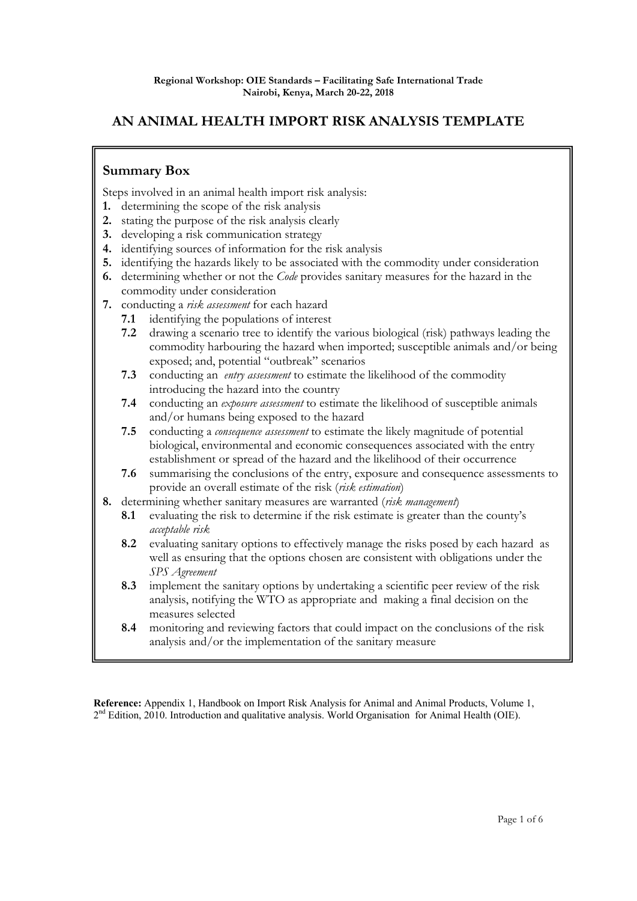# **AN ANIMAL HEALTH IMPORT RISK ANALYSIS TEMPLATE**

## **Summary Box**

Steps involved in an animal health import risk analysis:

- **1.** determining the scope of the risk analysis
- **2.** stating the purpose of the risk analysis clearly
- **3.** developing a risk communication strategy
- **4.** identifying sources of information for the risk analysis
- **5.** identifying the hazards likely to be associated with the commodity under consideration
- **6.** determining whether or not the *Code* provides sanitary measures for the hazard in the commodity under consideration
- **7.** conducting a *risk assessment* for each hazard
	- **7.1** identifying the populations of interest
	- **7.2** drawing a scenario tree to identify the various biological (risk) pathways leading the commodity harbouring the hazard when imported; susceptible animals and/or being exposed; and, potential "outbreak" scenarios
	- **7.3** conducting an *entry assessment* to estimate the likelihood of the commodity introducing the hazard into the country
	- **7.4** conducting an *exposure assessment* to estimate the likelihood of susceptible animals and/or humans being exposed to the hazard
	- **7.5** conducting a *consequence assessment* to estimate the likely magnitude of potential biological, environmental and economic consequences associated with the entry establishment or spread of the hazard and the likelihood of their occurrence
	- **7.6** summarising the conclusions of the entry, exposure and consequence assessments to provide an overall estimate of the risk (*risk estimation*)
- **8.** determining whether sanitary measures are warranted (*risk management*)
	- **8.1** evaluating the risk to determine if the risk estimate is greater than the county's *acceptable risk*
	- **8.2** evaluating sanitary options to effectively manage the risks posed by each hazard as well as ensuring that the options chosen are consistent with obligations under the *SPS Agreement*
	- **8.3** implement the sanitary options by undertaking a scientific peer review of the risk analysis, notifying the WTO as appropriate and making a final decision on the measures selected
	- **8.4** monitoring and reviewing factors that could impact on the conclusions of the risk analysis and/or the implementation of the sanitary measure

**Reference:** Appendix 1, Handbook on Import Risk Analysis for Animal and Animal Products, Volume 1,  $2<sup>nd</sup>$  Edition, 2010. Introduction and qualitative analysis. World Organisation for Animal Health (OIE).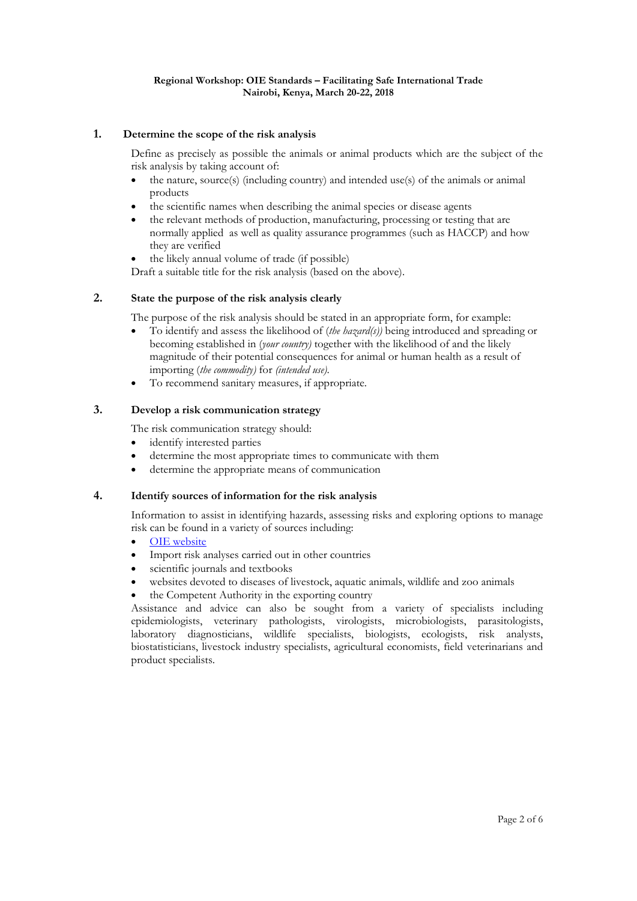## **1. Determine the scope of the risk analysis**

Define as precisely as possible the animals or animal products which are the subject of the risk analysis by taking account of:

- the nature, source(s) (including country) and intended use(s) of the animals or animal products
- the scientific names when describing the animal species or disease agents
- the relevant methods of production, manufacturing, processing or testing that are normally applied as well as quality assurance programmes (such as HACCP) and how they are verified
- the likely annual volume of trade (if possible)

Draft a suitable title for the risk analysis (based on the above).

## **2. State the purpose of the risk analysis clearly**

The purpose of the risk analysis should be stated in an appropriate form, for example:

- To identify and assess the likelihood of (*the hazard(s))* being introduced and spreading or becoming established in (*your country)* together with the likelihood of and the likely magnitude of their potential consequences for animal or human health as a result of importing (*the commodity)* for *(intended use)*.
- To recommend sanitary measures, if appropriate.

#### **3. Develop a risk communication strategy**

The risk communication strategy should:

- identify interested parties
- determine the most appropriate times to communicate with them
- determine the appropriate means of communication

#### **4. Identify sources of information for the risk analysis**

Information to assist in identifying hazards, assessing risks and exploring options to manage risk can be found in a variety of sources including:

- OIE website
- Import risk analyses carried out in other countries
- scientific journals and textbooks
- websites devoted to diseases of livestock, aquatic animals, wildlife and zoo animals
- the Competent Authority in the exporting country

Assistance and advice can also be sought from a variety of specialists including epidemiologists, veterinary pathologists, virologists, microbiologists, parasitologists, laboratory diagnosticians, wildlife specialists, biologists, ecologists, risk analysts, biostatisticians, livestock industry specialists, agricultural economists, field veterinarians and product specialists.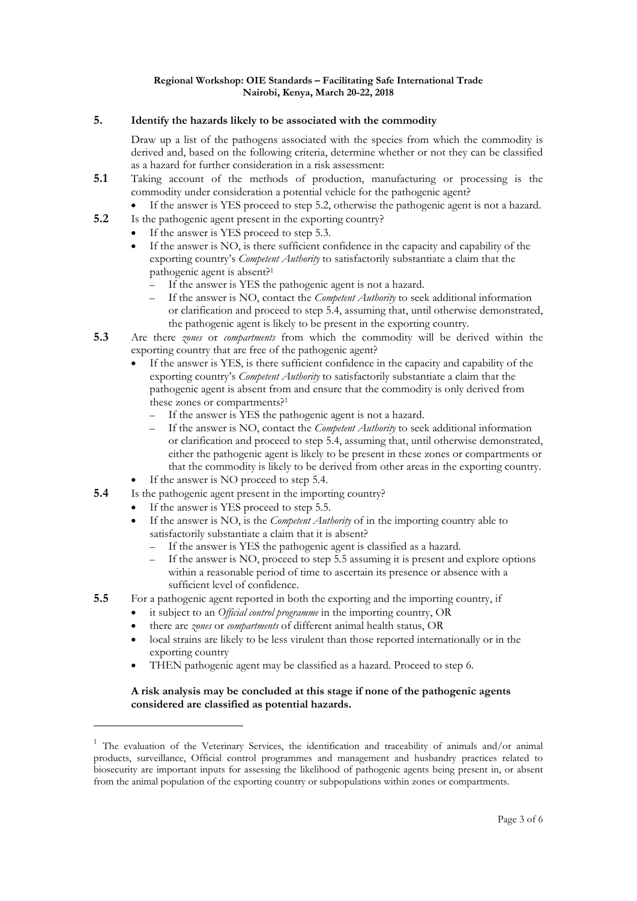## **5. Identify the hazards likely to be associated with the commodity**

Draw up a list of the pathogens associated with the species from which the commodity is derived and, based on the following criteria, determine whether or not they can be classified as a hazard for further consideration in a risk assessment:

- **5.1** Taking account of the methods of production, manufacturing or processing is the commodity under consideration a potential vehicle for the pathogenic agent?
	- If the answer is YES proceed to step 5.2, otherwise the pathogenic agent is not a hazard.
- **5.2** Is the pathogenic agent present in the exporting country?
	- If the answer is YES proceed to step 5.3.
	- If the answer is NO, is there sufficient confidence in the capacity and capability of the exporting country's *Competent Authority* to satisfactorily substantiate a claim that the pathogenic agent is absent?1
		- If the answer is YES the pathogenic agent is not a hazard.
		- If the answer is NO, contact the *Competent Authority* to seek additional information or clarification and proceed to step 5.4, assuming that, until otherwise demonstrated, the pathogenic agent is likely to be present in the exporting country.
- **5.3** Are there *zones* or *compartments* from which the commodity will be derived within the exporting country that are free of the pathogenic agent?
	- If the answer is YES, is there sufficient confidence in the capacity and capability of the exporting country's *Competent Authority* to satisfactorily substantiate a claim that the pathogenic agent is absent from and ensure that the commodity is only derived from these zones or compartments?1
		- If the answer is YES the pathogenic agent is not a hazard.
		- If the answer is NO, contact the *Competent Authority* to seek additional information or clarification and proceed to step 5.4, assuming that, until otherwise demonstrated, either the pathogenic agent is likely to be present in these zones or compartments or that the commodity is likely to be derived from other areas in the exporting country.
	- If the answer is NO proceed to step 5.4.
- **5.4** Is the pathogenic agent present in the importing country?
	- If the answer is YES proceed to step 5.5.

-

- If the answer is NO, is the *Competent Authority* of in the importing country able to satisfactorily substantiate a claim that it is absent?
	- If the answer is YES the pathogenic agent is classified as a hazard.
	- If the answer is NO, proceed to step 5.5 assuming it is present and explore options within a reasonable period of time to ascertain its presence or absence with a sufficient level of confidence.
- **5.5** For a pathogenic agent reported in both the exporting and the importing country, if
	- it subject to an *Official control programme* in the importing country, OR
		- there are *zones* or *compartments* of different animal health status, OR
		- local strains are likely to be less virulent than those reported internationally or in the exporting country
		- THEN pathogenic agent may be classified as a hazard. Proceed to step 6.

## **A risk analysis may be concluded at this stage if none of the pathogenic agents considered are classified as potential hazards.**

<sup>&</sup>lt;sup>1</sup> The evaluation of the Veterinary Services, the identification and traceability of animals and/or animal products, surveillance, Official control programmes and management and husbandry practices related to biosecurity are important inputs for assessing the likelihood of pathogenic agents being present in, or absent from the animal population of the exporting country or subpopulations within zones or compartments.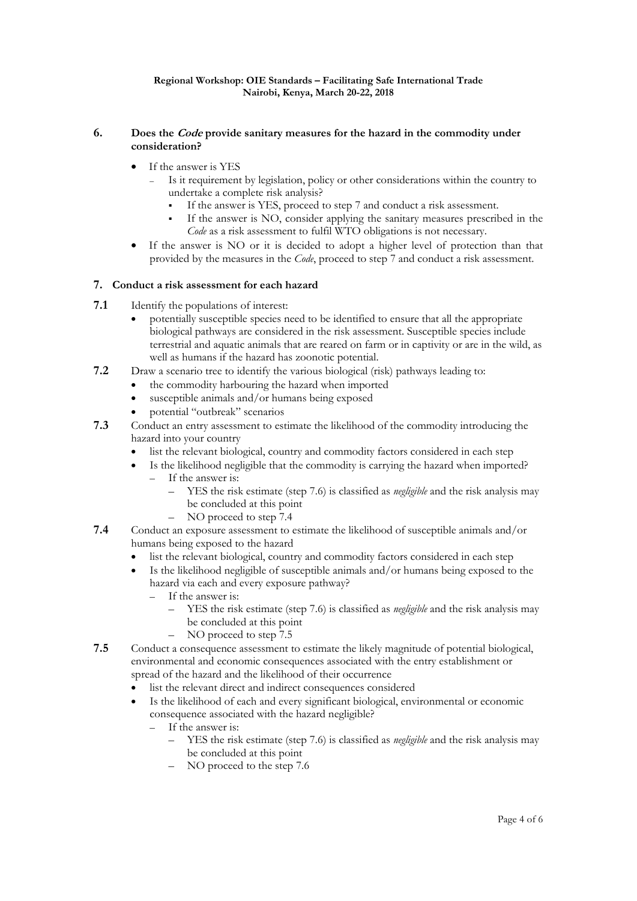## **6. Does the Code provide sanitary measures for the hazard in the commodity under consideration?**

- If the answer is YES
	- Is it requirement by legislation, policy or other considerations within the country to undertake a complete risk analysis?
		- If the answer is YES, proceed to step 7 and conduct a risk assessment.
		- If the answer is NO, consider applying the sanitary measures prescribed in the *Code* as a risk assessment to fulfil WTO obligations is not necessary.
- If the answer is NO or it is decided to adopt a higher level of protection than that provided by the measures in the *Code*, proceed to step 7 and conduct a risk assessment.

## **7. Conduct a risk assessment for each hazard**

- **7.1** Identify the populations of interest:
	- potentially susceptible species need to be identified to ensure that all the appropriate biological pathways are considered in the risk assessment. Susceptible species include terrestrial and aquatic animals that are reared on farm or in captivity or are in the wild, as well as humans if the hazard has zoonotic potential.
- **7.2** Draw a scenario tree to identify the various biological (risk) pathways leading to:
	- the commodity harbouring the hazard when imported
	- susceptible animals and/or humans being exposed
	- potential "outbreak" scenarios
- **7.3** Conduct an entry assessment to estimate the likelihood of the commodity introducing the hazard into your country
	- list the relevant biological, country and commodity factors considered in each step
		- Is the likelihood negligible that the commodity is carrying the hazard when imported? – If the answer is:
			- YES the risk estimate (step 7.6) is classified as *negligible* and the risk analysis may be concluded at this point
			- NO proceed to step 7.4
- **7.4** Conduct an exposure assessment to estimate the likelihood of susceptible animals and/or humans being exposed to the hazard
	- list the relevant biological, country and commodity factors considered in each step
	- Is the likelihood negligible of susceptible animals and/or humans being exposed to the hazard via each and every exposure pathway?
		- If the answer is:
			- YES the risk estimate (step 7.6) is classified as *negligible* and the risk analysis may be concluded at this point
			- NO proceed to step 7.5
- **7.5** Conduct a consequence assessment to estimate the likely magnitude of potential biological, environmental and economic consequences associated with the entry establishment or spread of the hazard and the likelihood of their occurrence
	- list the relevant direct and indirect consequences considered
	- Is the likelihood of each and every significant biological, environmental or economic consequence associated with the hazard negligible?
		- If the answer is:
			- YES the risk estimate (step 7.6) is classified as *negligible* and the risk analysis may be concluded at this point
			- NO proceed to the step 7.6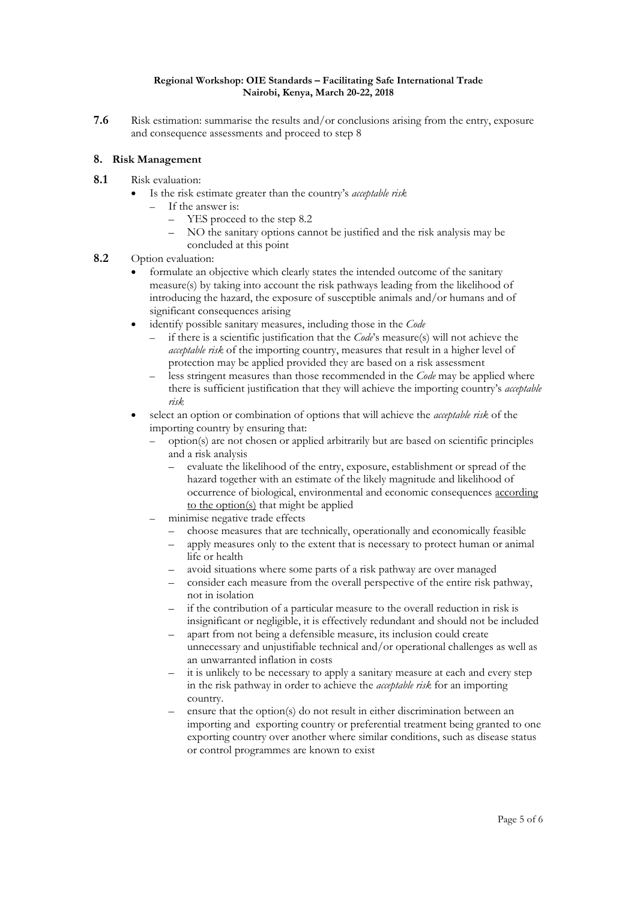**7.6** Risk estimation: summarise the results and/or conclusions arising from the entry, exposure and consequence assessments and proceed to step 8

## **8. Risk Management**

- **8.1** Risk evaluation:
	- Is the risk estimate greater than the country's *acceptable risk*
		- If the answer is:
			- YES proceed to the step 8.2
			- NO the sanitary options cannot be justified and the risk analysis may be concluded at this point
- **8.2** Option evaluation:
	- formulate an objective which clearly states the intended outcome of the sanitary measure(s) by taking into account the risk pathways leading from the likelihood of introducing the hazard, the exposure of susceptible animals and/or humans and of significant consequences arising
	- identify possible sanitary measures, including those in the *Code*
		- if there is a scientific justification that the *Code*'s measure(s) will not achieve the *acceptable risk* of the importing country, measures that result in a higher level of protection may be applied provided they are based on a risk assessment
		- less stringent measures than those recommended in the *Code* may be applied where there is sufficient justification that they will achieve the importing country's *acceptable risk*
	- select an option or combination of options that will achieve the *acceptable risk* of the importing country by ensuring that:
		- option(s) are not chosen or applied arbitrarily but are based on scientific principles and a risk analysis
			- evaluate the likelihood of the entry, exposure, establishment or spread of the hazard together with an estimate of the likely magnitude and likelihood of occurrence of biological, environmental and economic consequences according to the option(s) that might be applied
		- minimise negative trade effects
			- choose measures that are technically, operationally and economically feasible
			- apply measures only to the extent that is necessary to protect human or animal life or health
			- avoid situations where some parts of a risk pathway are over managed
			- consider each measure from the overall perspective of the entire risk pathway, not in isolation
			- if the contribution of a particular measure to the overall reduction in risk is insignificant or negligible, it is effectively redundant and should not be included
			- apart from not being a defensible measure, its inclusion could create unnecessary and unjustifiable technical and/or operational challenges as well as an unwarranted inflation in costs
			- it is unlikely to be necessary to apply a sanitary measure at each and every step in the risk pathway in order to achieve the *acceptable risk* for an importing country.
			- ensure that the option(s) do not result in either discrimination between an importing and exporting country or preferential treatment being granted to one exporting country over another where similar conditions, such as disease status or control programmes are known to exist